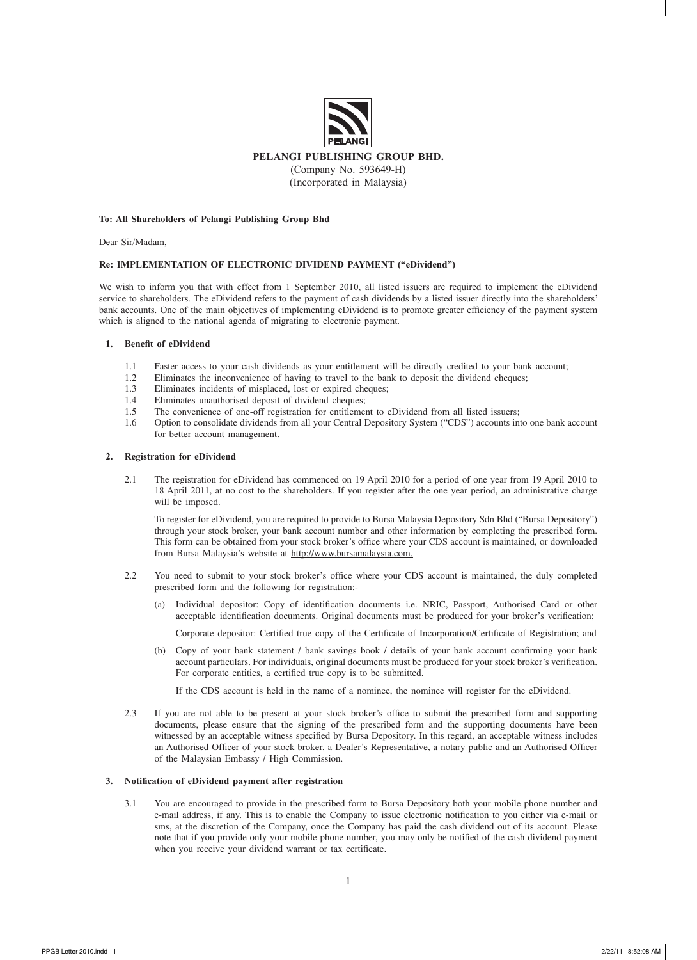

## **To: All Shareholders of Pelangi Publishing Group Bhd**

Dear Sir/Madam,

# **Re: IMPLEMENTATION OF ELECTRONIC DIVIDEND PAYMENT ("eDividend")**

We wish to inform you that with effect from 1 September 2010, all listed issuers are required to implement the eDividend service to shareholders. The eDividend refers to the payment of cash dividends by a listed issuer directly into the shareholders' bank accounts. One of the main objectives of implementing eDividend is to promote greater efficiency of the payment system which is aligned to the national agenda of migrating to electronic payment.

## **1. Benefit of eDividend**

- 1.1 Faster access to your cash dividends as your entitlement will be directly credited to your bank account;
- 1.2 Eliminates the inconvenience of having to travel to the bank to deposit the dividend cheques;
- 1.3 Eliminates incidents of misplaced, lost or expired cheques;
- 1.4 Eliminates unauthorised deposit of dividend cheques;
- 1.5 The convenience of one-off registration for entitlement to eDividend from all listed issuers;
- 1.6 Option to consolidate dividends from all your Central Depository System ("CDS") accounts into one bank account for better account management.

## **2. Registration for eDividend**

2.1 The registration for eDividend has commenced on 19 April 2010 for a period of one year from 19 April 2010 to 18 April 2011, at no cost to the shareholders. If you register after the one year period, an administrative charge will be imposed.

To register for eDividend, you are required to provide to Bursa Malaysia Depository Sdn Bhd ("Bursa Depository") through your stock broker, your bank account number and other information by completing the prescribed form. This form can be obtained from your stock broker's office where your CDS account is maintained, or downloaded from Bursa Malaysia's website at http://www.bursamalaysia.com.

- 2.2 You need to submit to your stock broker's office where your CDS account is maintained, the duly completed prescribed form and the following for registration:-
	- Individual depositor: Copy of identification documents i.e. NRIC, Passport, Authorised Card or other acceptable identification documents. Original documents must be produced for your broker's verification;

Corporate depositor: Certified true copy of the Certificate of Incorporation/Certificate of Registration; and

(b) Copy of your bank statement / bank savings book / details of your bank account confirming your bank account particulars. For individuals, original documents must be produced for your stock broker's verification. For corporate entities, a certified true copy is to be submitted.

If the CDS account is held in the name of a nominee, the nominee will register for the eDividend.

2.3 If you are not able to be present at your stock broker's office to submit the prescribed form and supporting documents, please ensure that the signing of the prescribed form and the supporting documents have been witnessed by an acceptable witness specified by Bursa Depository. In this regard, an acceptable witness includes an Authorised Officer of your stock broker, a Dealer's Representative, a notary public and an Authorised Officer of the Malaysian Embassy / High Commission.

# **3. Notification of eDividend payment after registration**

3.1 You are encouraged to provide in the prescribed form to Bursa Depository both your mobile phone number and e-mail address, if any. This is to enable the Company to issue electronic notification to you either via e-mail or sms, at the discretion of the Company, once the Company has paid the cash dividend out of its account. Please note that if you provide only your mobile phone number, you may only be notified of the cash dividend payment when you receive your dividend warrant or tax certificate.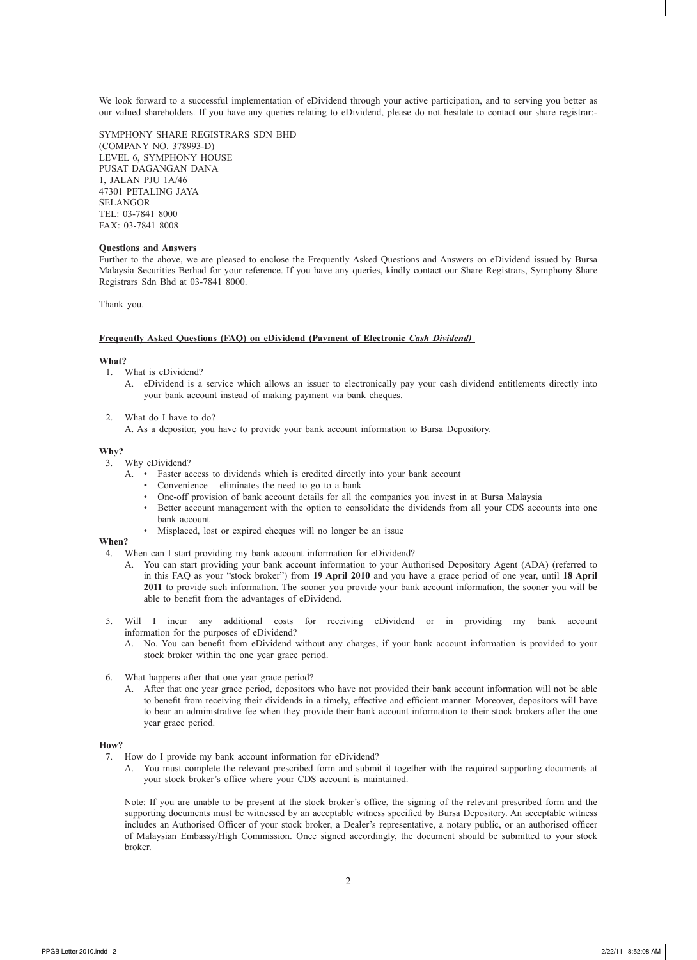We look forward to a successful implementation of eDividend through your active participation, and to serving you better as our valued shareholders. If you have any queries relating to eDividend, please do not hesitate to contact our share registrar:-

SYMPHONY SHARE REGISTRARS SDN BHD (COMPANY NO. 378993-D) LEVEL 6, SYMPHONY HOUSE PUSAT DAGANGAN DANA 1, JALAN PJU 1A/46 47301 PETALING JAYA SELANGOR TEL: 03-7841 8000 FAX: 03-7841 8008

## **Questions and Answers**

Further to the above, we are pleased to enclose the Frequently Asked Questions and Answers on eDividend issued by Bursa Malaysia Securities Berhad for your reference. If you have any queries, kindly contact our Share Registrars, Symphony Share Registrars Sdn Bhd at 03-7841 8000.

Thank you.

#### **Frequently Asked Questions (FAQ) on eDividend (Payment of Electronic** *Cash Dividend)*

#### **What?**

- 1. What is eDividend?
	- A. eDividend is a service which allows an issuer to electronically pay your cash dividend entitlements directly into your bank account instead of making payment via bank cheques.
- 2. What do I have to do?
	- A. As a depositor, you have to provide your bank account information to Bursa Depository.

#### **Why?**

- 3. Why eDividend?
	- A. Faster access to dividends which is credited directly into your bank account
		- Convenience eliminates the need to go to a bank
		- One-off provision of bank account details for all the companies you invest in at Bursa Malaysia
		- Better account management with the option to consolidate the dividends from all your CDS accounts into one bank account
		- Misplaced, lost or expired cheques will no longer be an issue

# **When?**

- 4. When can I start providing my bank account information for eDividend?
	- A. You can start providing your bank account information to your Authorised Depository Agent (ADA) (referred to in this FAQ as your "stock broker") from **19 April 2010** and you have a grace period of one year, until **18 April 2011** to provide such information. The sooner you provide your bank account information, the sooner you will be able to benefit from the advantages of eDividend.
- 5. Will I incur any additional costs for receiving eDividend or in providing my bank account information for the purposes of eDividend?
	- A. No. You can benefit from eDividend without any charges, if your bank account information is provided to your stock broker within the one year grace period.
- 6. What happens after that one year grace period?
	- A. After that one year grace period, depositors who have not provided their bank account information will not be able to benefit from receiving their dividends in a timely, effective and efficient manner. Moreover, depositors will have to bear an administrative fee when they provide their bank account information to their stock brokers after the one year grace period.

# **How?**

- 7. How do I provide my bank account information for eDividend?
	- A. You must complete the relevant prescribed form and submit it together with the required supporting documents at your stock broker's office where your CDS account is maintained.

Note: If you are unable to be present at the stock broker's office, the signing of the relevant prescribed form and the supporting documents must be witnessed by an acceptable witness specified by Bursa Depository. An acceptable witness includes an Authorised Officer of your stock broker, a Dealer's representative, a notary public, or an authorised officer of Malaysian Embassy/High Commission. Once signed accordingly, the document should be submitted to your stock broker.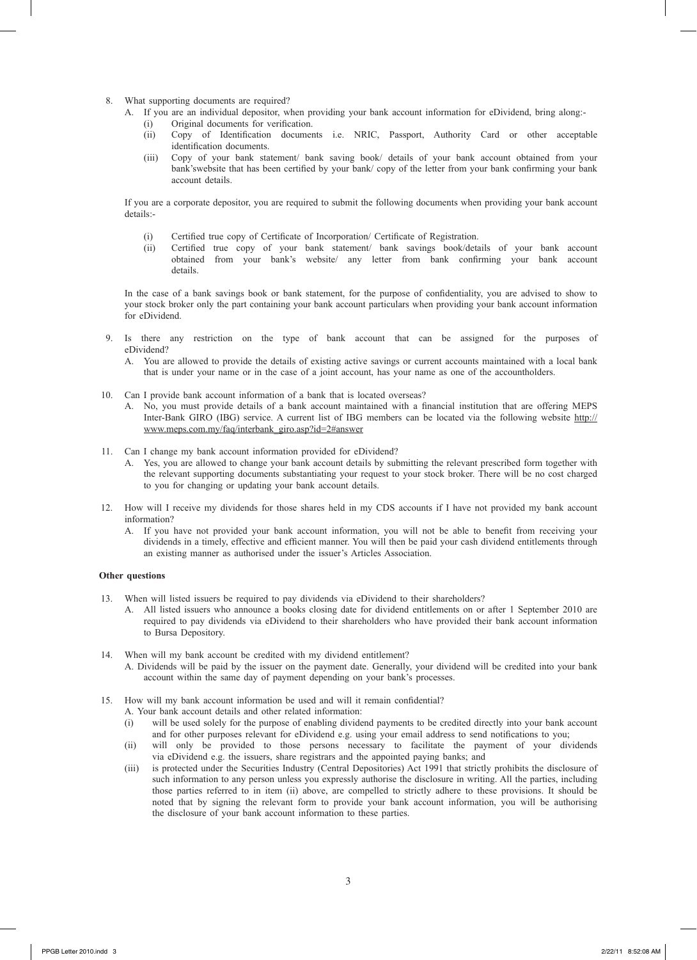- 8. What supporting documents are required?
	- A. If you are an individual depositor, when providing your bank account information for eDividend, bring along:-
		- (i) Original documents for verification.
		- (ii) Copy of Identification documents i.e. NRIC, Passport, Authority Card or other acceptable identification documents.
		- (iii) Copy of your bank statement/ bank saving book/ details of your bank account obtained from your bank'swebsite that has been certified by your bank/ copy of the letter from your bank confirming your bank account details.

 If you are a corporate depositor, you are required to submit the following documents when providing your bank account details:-

- (i) Certified true copy of Certificate of Incorporation/ Certificate of Registration.
- (ii) Certified true copy of your bank statement/ bank savings book/details of your bank account obtained from your bank's website/ any letter from bank confirming your bank account details.

In the case of a bank savings book or bank statement, for the purpose of confidentiality, you are advised to show to your stock broker only the part containing your bank account particulars when providing your bank account information for eDividend.

- 9. Is there any restriction on the type of bank account that can be assigned for the purposes of eDividend?
	- A. You are allowed to provide the details of existing active savings or current accounts maintained with a local bank that is under your name or in the case of a joint account, has your name as one of the accountholders.
- 10. Can I provide bank account information of a bank that is located overseas?
	- A. No, you must provide details of a bank account maintained with a financial institution that are offering MEPS Inter-Bank GIRO (IBG) service. A current list of IBG members can be located via the following website http:// www.meps.com.my/faq/interbank\_giro.asp?id=2#answer
- 11. Can I change my bank account information provided for eDividend?
	- A. Yes, you are allowed to change your bank account details by submitting the relevant prescribed form together with the relevant supporting documents substantiating your request to your stock broker. There will be no cost charged to you for changing or updating your bank account details.
- 12. How will I receive my dividends for those shares held in my CDS accounts if I have not provided my bank account information?
	- If you have not provided your bank account information, you will not be able to benefit from receiving your dividends in a timely, effective and efficient manner. You will then be paid your cash dividend entitlements through an existing manner as authorised under the issuer's Articles Association.

# **Other questions**

- 13. When will listed issuers be required to pay dividends via eDividend to their shareholders?
	- A. All listed issuers who announce a books closing date for dividend entitlements on or after 1 September 2010 are required to pay dividends via eDividend to their shareholders who have provided their bank account information to Bursa Depository.
- 14. When will my bank account be credited with my dividend entitlement? A. Dividends will be paid by the issuer on the payment date. Generally, your dividend will be credited into your bank account within the same day of payment depending on your bank's processes.
- 15. How will my bank account information be used and will it remain confidential?
	- A. Your bank account details and other related information:
	- (i) will be used solely for the purpose of enabling dividend payments to be credited directly into your bank account and for other purposes relevant for eDividend e.g. using your email address to send notifications to you;
	- (ii) will only be provided to those persons necessary to facilitate the payment of your dividends via eDividend e.g. the issuers, share registrars and the appointed paying banks; and
	- (iii) is protected under the Securities Industry (Central Depositories) Act 1991 that strictly prohibits the disclosure of such information to any person unless you expressly authorise the disclosure in writing. All the parties, including those parties referred to in item (ii) above, are compelled to strictly adhere to these provisions. It should be noted that by signing the relevant form to provide your bank account information, you will be authorising the disclosure of your bank account information to these parties.